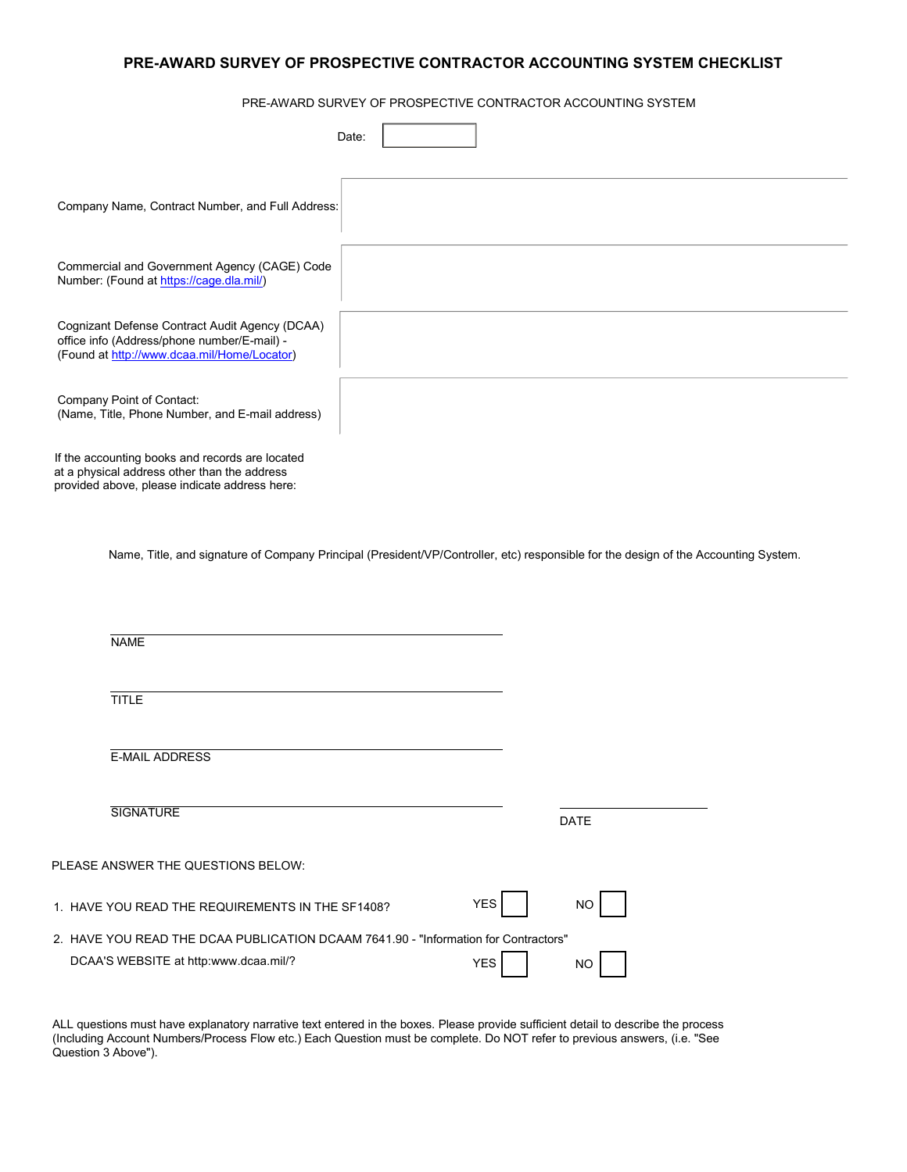# **PRE-AWARD SURVEY OF PROSPECTIVE CONTRACTOR ACCOUNTING SYSTEM CHECKLIST**

PRE-AWARD SURVEY OF PROSPECTIVE CONTRACTOR ACCOUNTING SYSTEM

| Date:                                                                                                                                            |
|--------------------------------------------------------------------------------------------------------------------------------------------------|
| Company Name, Contract Number, and Full Address:                                                                                                 |
| Commercial and Government Agency (CAGE) Code<br>Number: (Found at https://cage.dla.mil/)                                                         |
| Cognizant Defense Contract Audit Agency (DCAA)<br>office info (Address/phone number/E-mail) -<br>(Found at http://www.dcaa.mil/Home/Locator)     |
| Company Point of Contact:<br>(Name, Title, Phone Number, and E-mail address)                                                                     |
| If the accounting books and records are located<br>at a physical address other than the address<br>provided above, please indicate address here: |
| Name, Title, and signature of Company Principal (President/VP/Controller, etc) responsible for the design of the Accounting System.              |

| <b>NAME</b>                                                                         |                   |
|-------------------------------------------------------------------------------------|-------------------|
| <b>TITLE</b>                                                                        |                   |
| <b>E-MAIL ADDRESS</b>                                                               |                   |
| <b>SIGNATURE</b>                                                                    | <b>DATE</b>       |
| PLEASE ANSWER THE QUESTIONS BELOW:                                                  |                   |
| 1. HAVE YOU READ THE REQUIREMENTS IN THE SF1408?                                    | <b>YES</b><br>NO. |
| 2. HAVE YOU READ THE DCAA PUBLICATION DCAAM 7641.90 - "Information for Contractors" |                   |
| DCAA'S WEBSITE at http:www.dcaa.mil/?                                               | <b>YES</b><br>NO. |

ALL questions must have explanatory narrative text entered in the boxes. Please provide sufficient detail to describe the process (Including Account Numbers/Process Flow etc.) Each Question must be complete. Do NOT refer to previous answers, (i.e. "See Question 3 Above").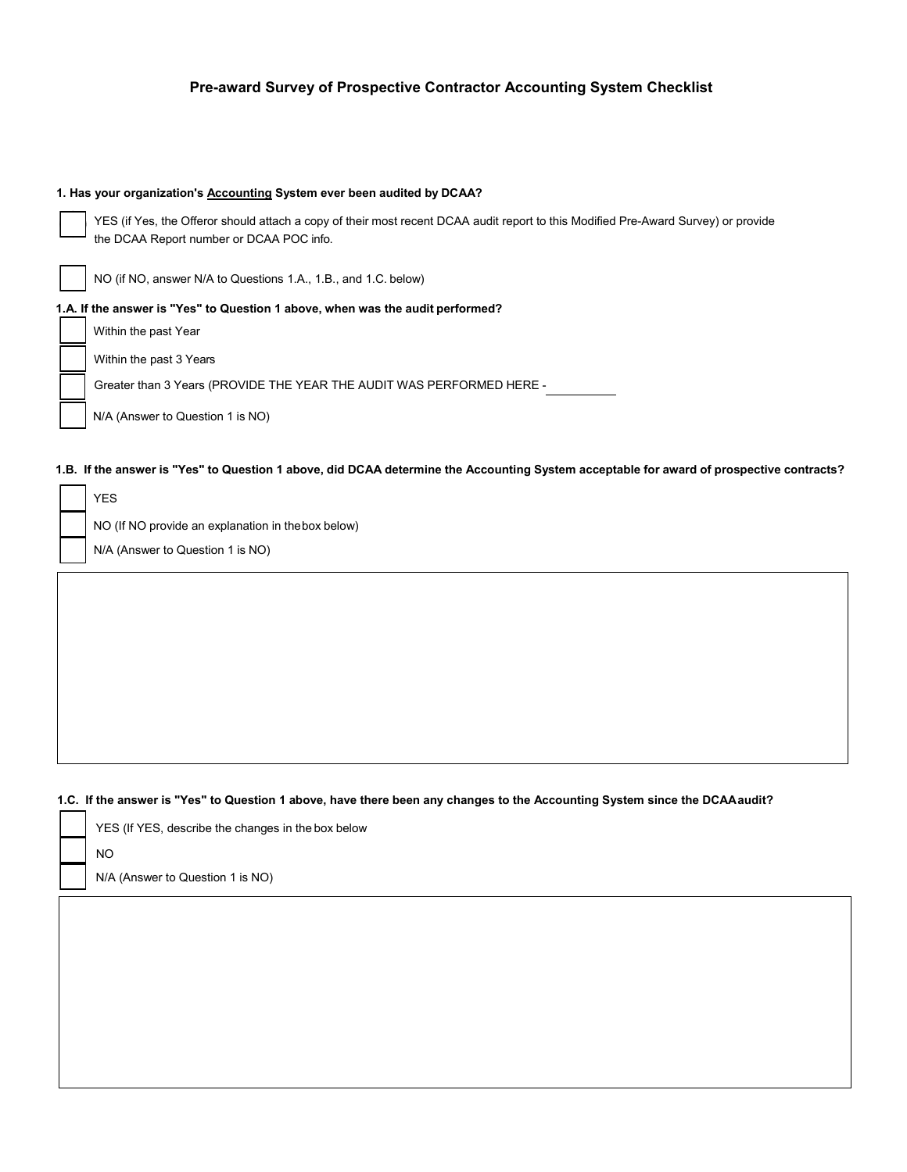| 1. Has your organization's <b>Accounting System ever been audited by DCAA?</b>                                                                                                 |
|--------------------------------------------------------------------------------------------------------------------------------------------------------------------------------|
| YES (if Yes, the Offeror should attach a copy of their most recent DCAA audit report to this Modified Pre-Award Survey) or provide<br>the DCAA Report number or DCAA POC info. |
| NO (if NO, answer N/A to Questions 1.A., 1.B., and 1.C. below)                                                                                                                 |
| 1.A. If the answer is "Yes" to Question 1 above, when was the audit performed?                                                                                                 |
| Within the past Year                                                                                                                                                           |
| Within the past 3 Years                                                                                                                                                        |
| Greater than 3 Years (PROVIDE THE YEAR THE AUDIT WAS PERFORMED HERE -                                                                                                          |
| N/A (Answer to Question 1 is NO)                                                                                                                                               |

#### 1.B. If the answer is "Yes" to Question 1 above, did DCAA determine the Accounting System acceptable for award of prospective contracts?

| <b>YES</b>                                        |
|---------------------------------------------------|
| NO (If NO provide an explanation in thebox below) |
| N/A (Answer to Question 1 is NO)                  |

# **1.C. If the answer is "Yes" to Question 1 above, have there been any changes to the Accounting System since the DCAAaudit?**

|  | YES (If YES, describe the changes in the box below |
|--|----------------------------------------------------|
|  | NO.                                                |
|  | N/A (Answer to Question 1 is NO)                   |
|  |                                                    |

┑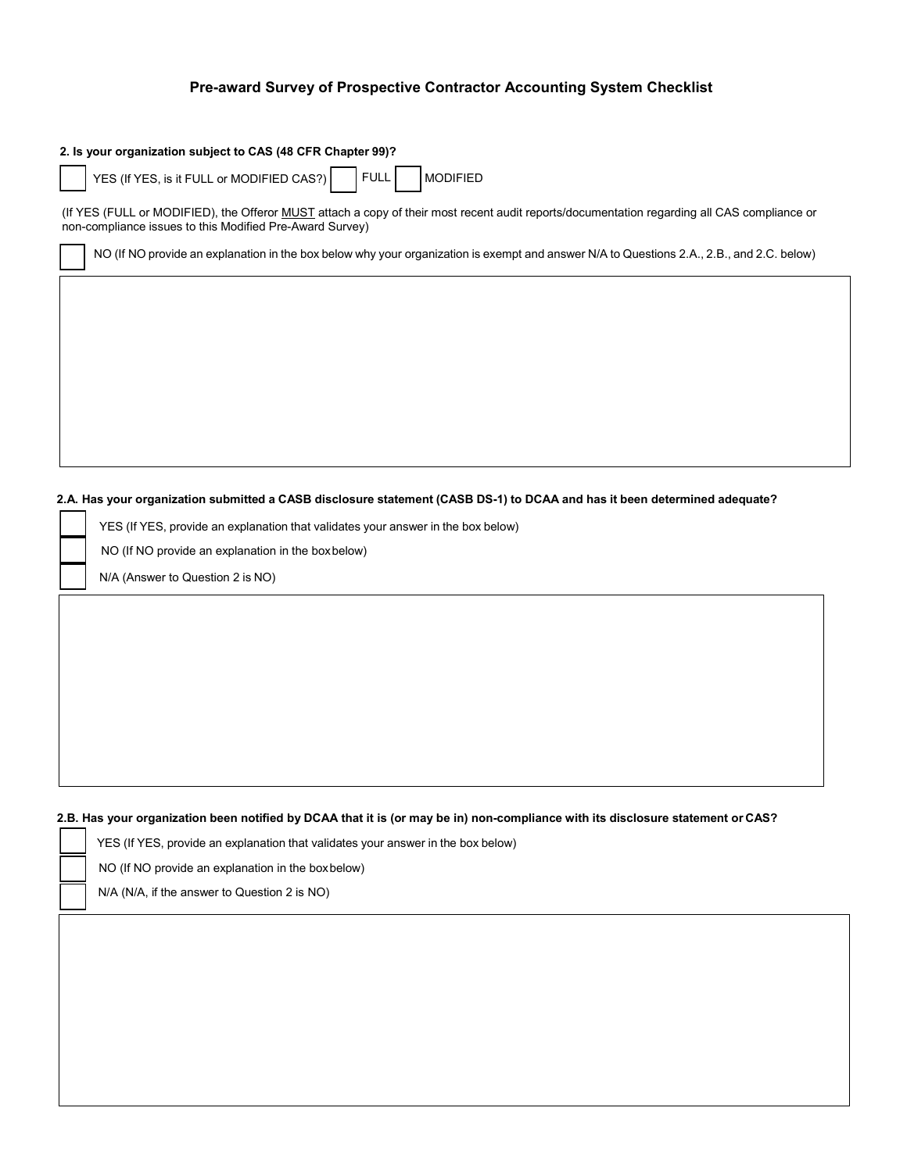| 2. Is your organization subject to CAS (48 CFR Chapter 99)?                                                                                                                                             |
|---------------------------------------------------------------------------------------------------------------------------------------------------------------------------------------------------------|
| YES (If YES, is it FULL or MODIFIED CAS?)<br><b>MODIFIED</b><br><b>FULL</b>                                                                                                                             |
| (If YES (FULL or MODIFIED), the Offeror MUST attach a copy of their most recent audit reports/documentation regarding all CAS compliance or<br>non-compliance issues to this Modified Pre-Award Survey) |
| NO (If NO provide an explanation in the box below why your organization is exempt and answer N/A to Questions 2.A., 2.B., and 2.C. below)                                                               |
|                                                                                                                                                                                                         |
|                                                                                                                                                                                                         |
|                                                                                                                                                                                                         |
|                                                                                                                                                                                                         |
|                                                                                                                                                                                                         |
|                                                                                                                                                                                                         |

#### 2.A. Has your organization submitted a CASB disclosure statement (CASB DS-1) to DCAA and has it been determined adequate?

|  | YES (If YES, provide an explanation that validates your answer in the box below) |
|--|----------------------------------------------------------------------------------|
|  | NO (If NO provide an explanation in the boxbelow)                                |
|  | N/A (Answer to Question 2 is NO)                                                 |

## **2.B. Has your organization been notified by DCAA that it is (or may be in) non-compliance with its disclosure statement or CAS?**

| YES (If YES, provide an explanation that validates your answer in the box below) |  |  |  |
|----------------------------------------------------------------------------------|--|--|--|
|                                                                                  |  |  |  |

NO (If NO provide an explanation in the boxbelow)

N/A (N/A, if the answer to Question 2 is NO)

г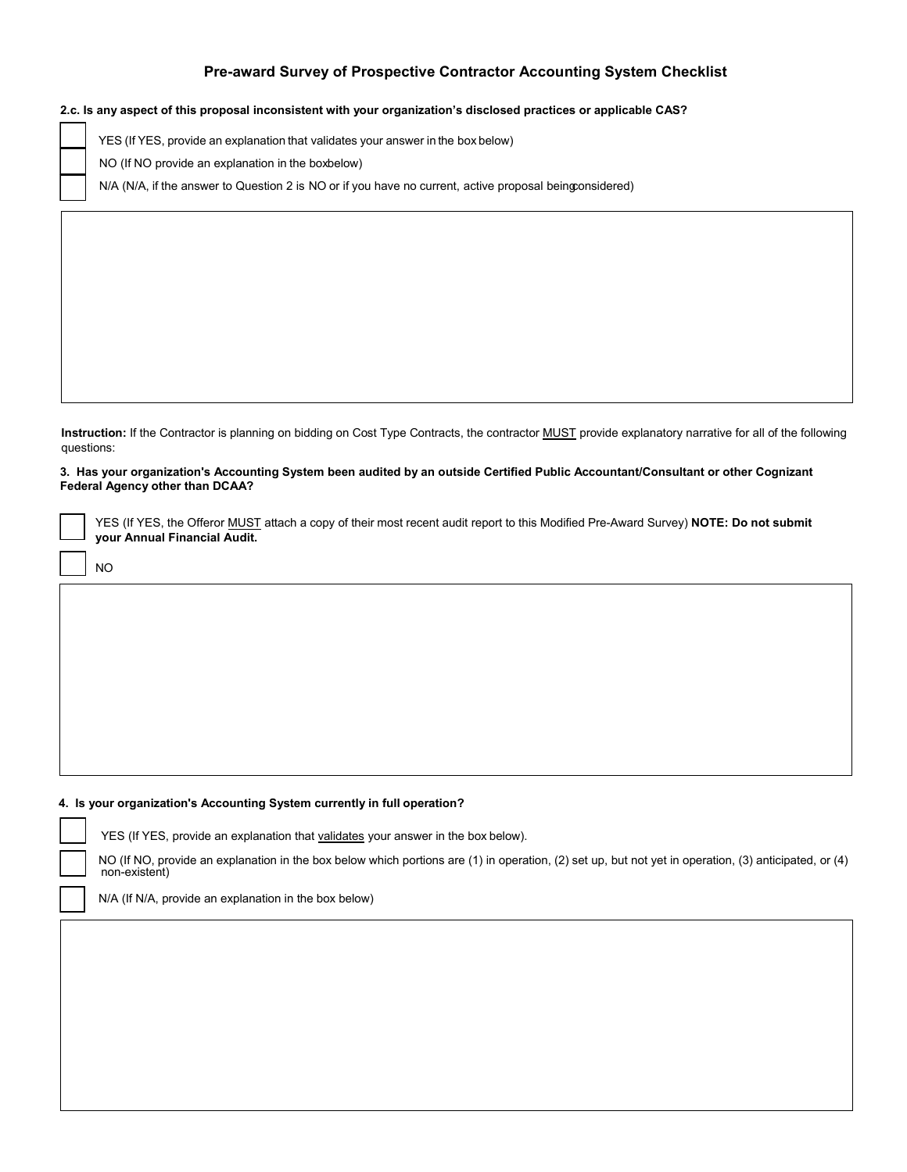#### **2.c. Is any aspect of this proposal inconsistent with your organization's disclosed practices or applicable CAS?**

YES (If YES, provide an explanation that validates your answer in the box below)

NO (If NO provide an explanation in the boxbelow)

N/A (N/A, if the answer to Question 2 is NO or if you have no current, active proposal beingconsidered)

**Instruction:** If the Contractor is planning on bidding on Cost Type Contracts, the contractor MUST provide explanatory narrative for all of the following questions:

#### **3. Has your organization's Accounting System been audited by an outside Certified Public Accountant/Consultant or other Cognizant Federal Agency other than DCAA?**

YES (If YES, the Offeror MUST attach a copy of their most recent audit report to this Modified Pre-Award Survey) **NOTE: Do not submit your Annual Financial Audit.** 

NO

#### **4. Is your organization's Accounting System currently in full operation?**

YES (If YES, provide an explanation that validates your answer in the box below).

NO (If NO, provide an explanation in the box below which portions are (1) in operation, (2) set up, but not yet in operation, (3) anticipated, or (4) non-existent)

N/A (If N/A, provide an explanation in the box below)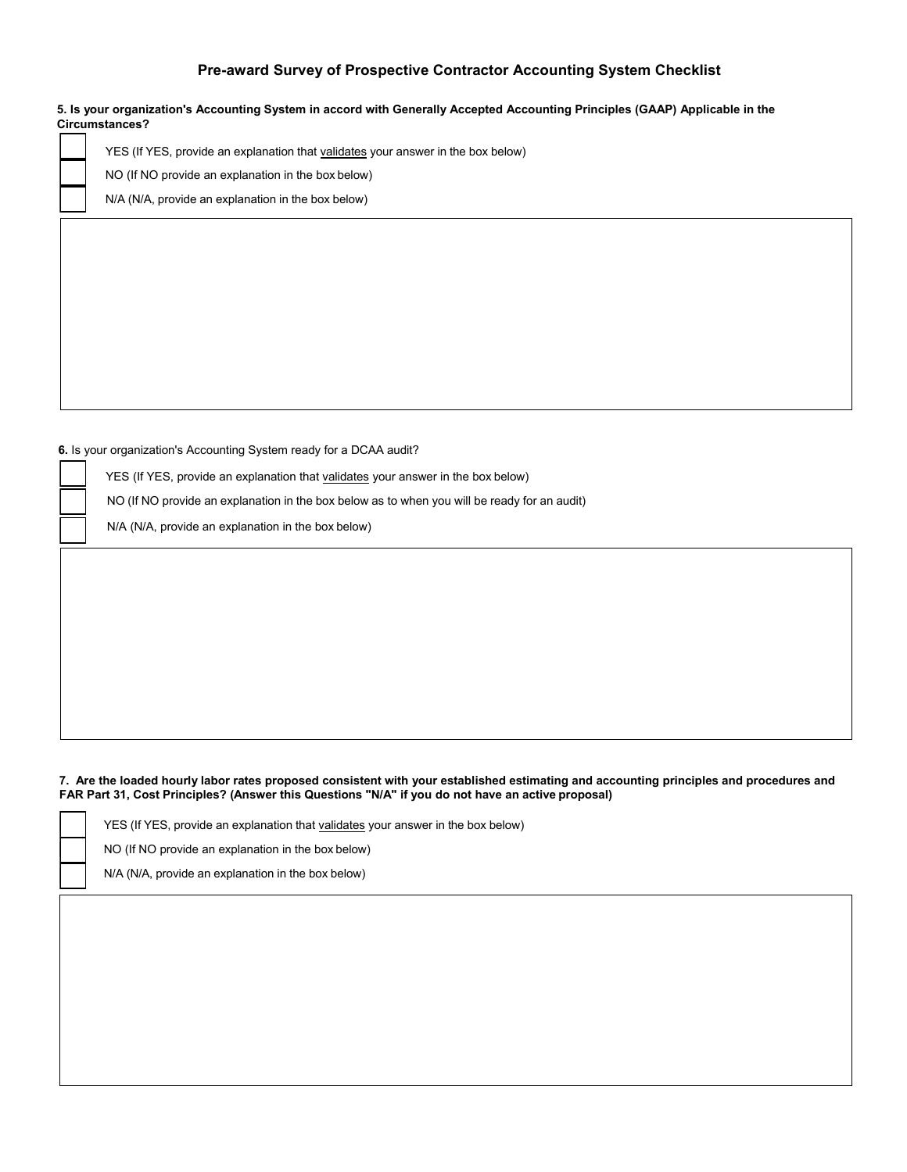**5. Is your organization's Accounting System in accord with Generally Accepted Accounting Principles (GAAP) Applicable in the Circumstances?**

YES (If YES, provide an explanation that validates your answer in the box below)

NO (If NO provide an explanation in the box below)

N/A (N/A, provide an explanation in the box below)

**6.** Is your organization's Accounting System ready for a DCAA audit?

YES (If YES, provide an explanation that validates your answer in the box below)

NO (If NO provide an explanation in the box below as to when you will be ready for an audit)

N/A (N/A, provide an explanation in the box below)

#### **7. Are the loaded hourly labor rates proposed consistent with your established estimating and accounting principles and procedures and FAR Part 31, Cost Principles? (Answer this Questions "N/A" if you do not have an active proposal)**

YES (If YES, provide an explanation that validates your answer in the box below)

NO (If NO provide an explanation in the box below)

N/A (N/A, provide an explanation in the box below)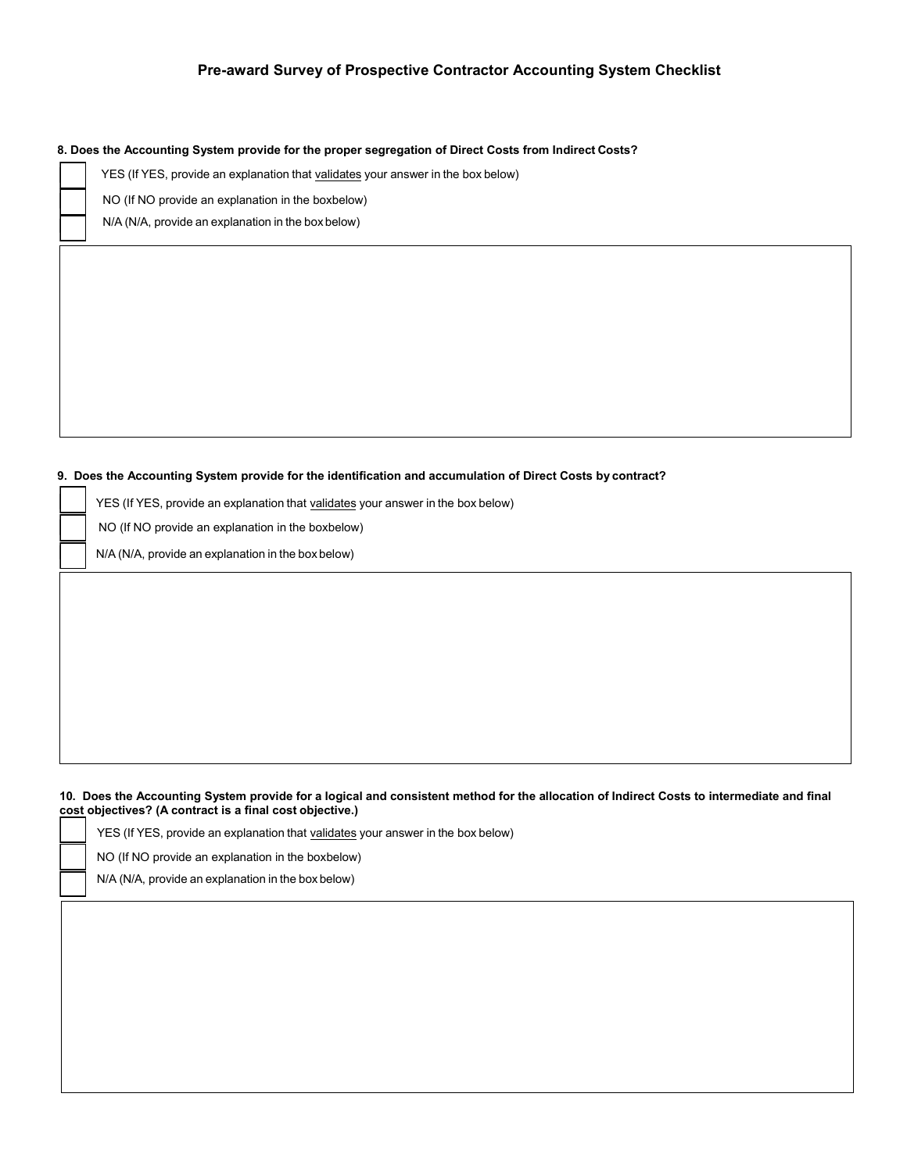**8. Does the Accounting System provide for the proper segregation of Direct Costs from Indirect Costs?**

YES (If YES, provide an explanation that validates your answer in the box below)

NO (If NO provide an explanation in the boxbelow)

N/A (N/A, provide an explanation in the box below)

#### **9. Does the Accounting System provide for the identification and accumulation of Direct Costs by contract?**

YES (If YES, provide an explanation that validates your answer in the box below)

NO (If NO provide an explanation in the boxbelow)

N/A (N/A, provide an explanation in the box below)

#### **10. Does the Accounting System provide for a logical and consistent method for the allocation of Indirect Costs to intermediate and final cost objectives? (A contract is a final cost objective.)**

| YES (If YES, provide an explanation that validates your answer in the box below) |
|----------------------------------------------------------------------------------|
| NO (If NO provide an explanation in the boxbelow)                                |
| N/A (N/A, provide an explanation in the box below)                               |
|                                                                                  |
|                                                                                  |
|                                                                                  |
|                                                                                  |
|                                                                                  |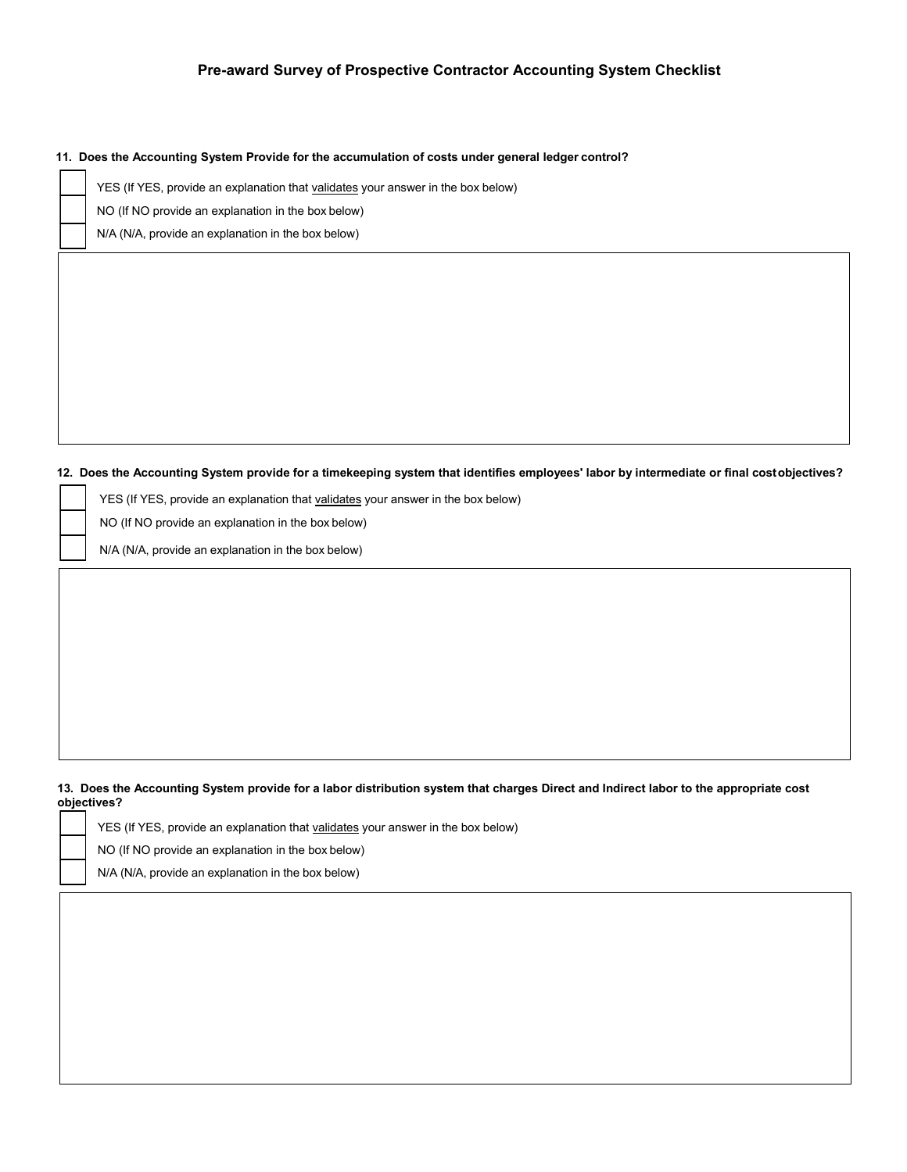#### **11. Does the Accounting System Provide for the accumulation of costs under general ledger control?**

YES (If YES, provide an explanation that validates your answer in the box below)

NO (If NO provide an explanation in the box below)

N/A (N/A, provide an explanation in the box below)

#### **12. Does the Accounting System provide for a timekeeping system that identifies employees' labor by intermediate or final costobjectives?**

YES (If YES, provide an explanation that validates your answer in the box below)

NO (If NO provide an explanation in the box below)

N/A (N/A, provide an explanation in the box below)

#### **13. Does the Accounting System provide for a labor distribution system that charges Direct and Indirect labor to the appropriate cost objectives?**

YES (If YES, provide an explanation that validates your answer in the box below)

NO (If NO provide an explanation in the box below)

N/A (N/A, provide an explanation in the box below)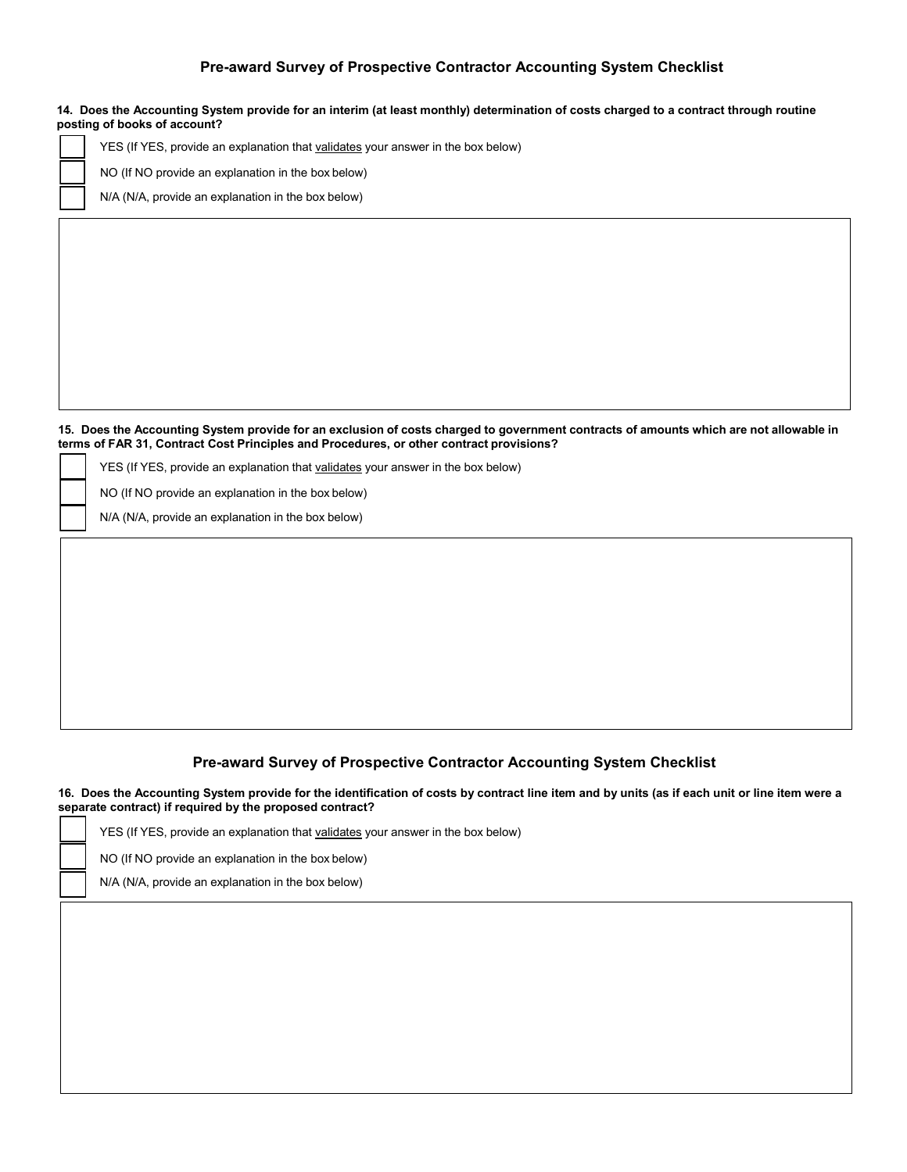|  | 14. Does the Accounting System provide for an interim (at least monthly) determination of costs charged to a contract through routine<br>posting of books of account? |
|--|-----------------------------------------------------------------------------------------------------------------------------------------------------------------------|
|  | YES (If YES, provide an explanation that validates your answer in the box below)                                                                                      |
|  | NO (If NO provide an explanation in the box below)                                                                                                                    |
|  | N/A (N/A, provide an explanation in the box below)                                                                                                                    |
|  |                                                                                                                                                                       |
|  |                                                                                                                                                                       |
|  |                                                                                                                                                                       |
|  |                                                                                                                                                                       |
|  |                                                                                                                                                                       |
|  |                                                                                                                                                                       |

15. Does the Accounting System provide for an exclusion of costs charged to government contracts of amounts which are not allowable in **terms of FAR 31, Contract Cost Principles and Procedures, or other contract provisions?**

YES (If YES, provide an explanation that validates your answer in the box below)

NO (If NO provide an explanation in the box below)

N/A (N/A, provide an explanation in the box below)

# **Pre-award Survey of Prospective Contractor Accounting System Checklist**

**16. Does the Accounting System provide for the identification of costs by contract line item and by units (as if each unit or line item were a separate contract) if required by the proposed contract?**

|  | YES (If YES, provide an explanation that validates your answer in the box below) |
|--|----------------------------------------------------------------------------------|
|  | NO (If NO provide an explanation in the box below)                               |
|  | N/A (N/A, provide an explanation in the box below)                               |
|  |                                                                                  |
|  |                                                                                  |
|  |                                                                                  |
|  |                                                                                  |
|  |                                                                                  |
|  |                                                                                  |
|  |                                                                                  |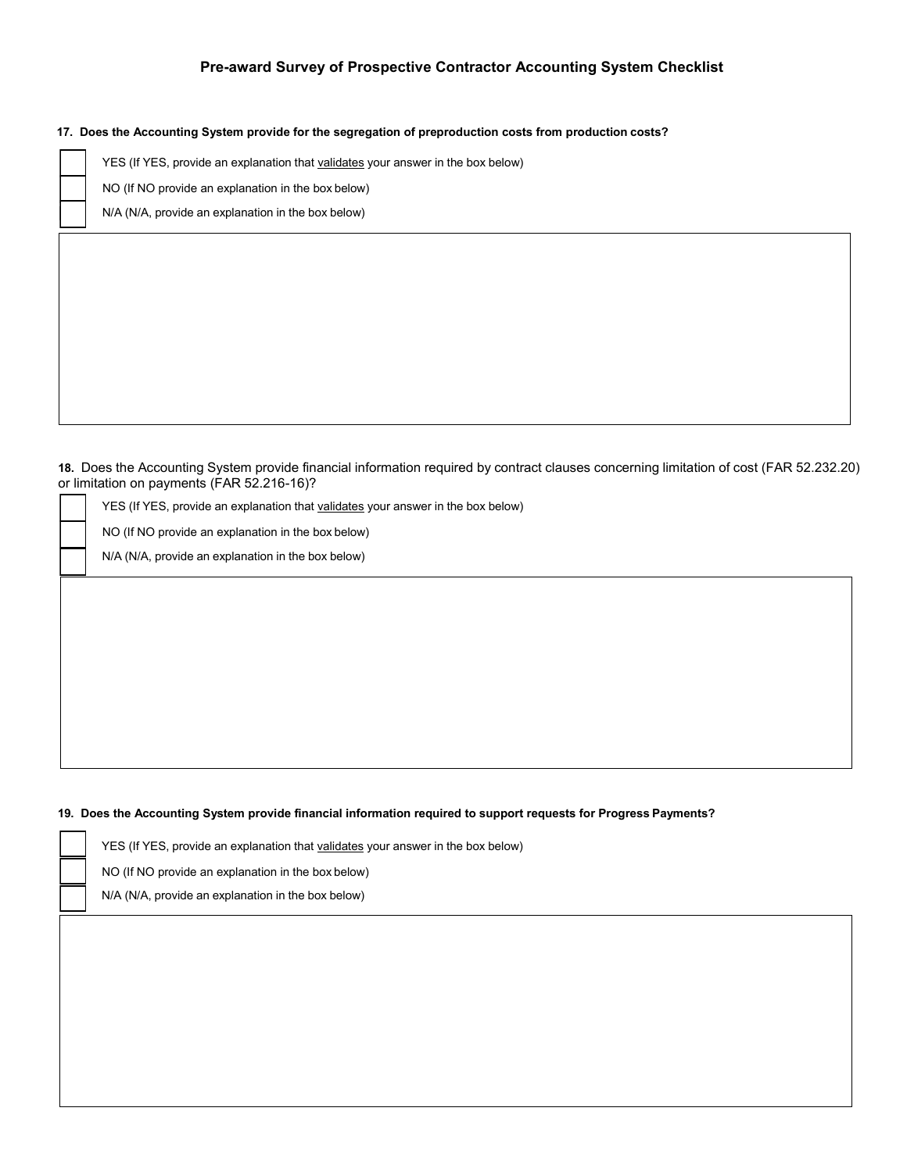**17. Does the Accounting System provide for the segregation of preproduction costs from production costs?**

YES (If YES, provide an explanation that validates your answer in the box below)

NO (If NO provide an explanation in the box below)

N/A (N/A, provide an explanation in the box below)

**18.** Does the Accounting System provide financial information required by contract clauses concerning limitation of cost (FAR 52.232.20) or limitation on payments (FAR 52.216-16)?

YES (If YES, provide an explanation that validates your answer in the box below)

NO (If NO provide an explanation in the box below)

N/A (N/A, provide an explanation in the box below)

#### **19. Does the Accounting System provide financial information required to support requests for Progress Payments?**

YES (If YES, provide an explanation that validates your answer in the box below)

NO (If NO provide an explanation in the box below)

N/A (N/A, provide an explanation in the box below)